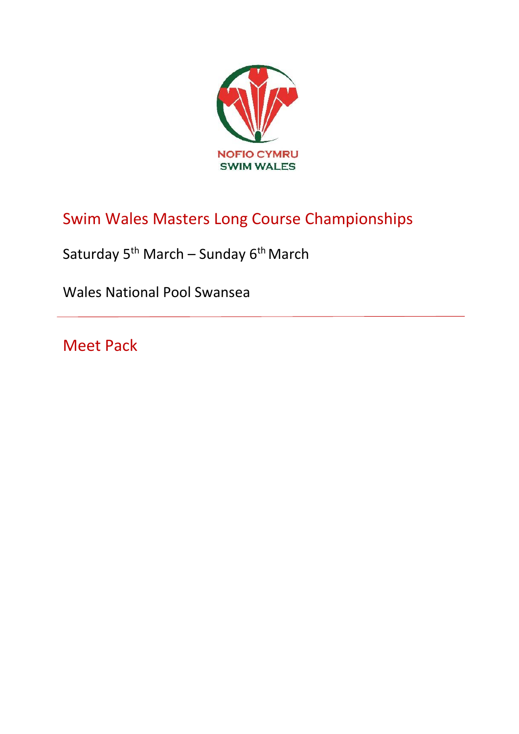

# Swim Wales Masters Long Course Championships

Saturday 5<sup>th</sup> March – Sunday 6<sup>th</sup> March

Wales National Pool Swansea

Meet Pack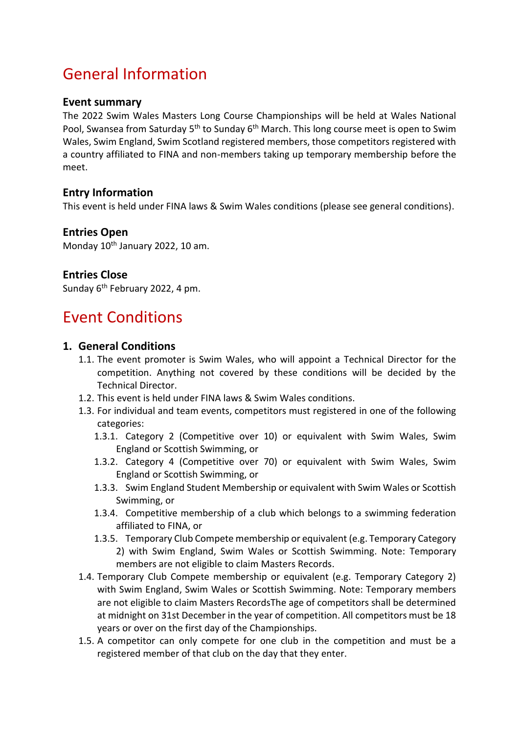## General Information

#### **Event summary**

The 2022 Swim Wales Masters Long Course Championships will be held at Wales National Pool, Swansea from Saturday 5<sup>th</sup> to Sunday 6<sup>th</sup> March. This long course meet is open to Swim Wales, Swim England, Swim Scotland registered members, those competitors registered with a country affiliated to FINA and non-members taking up temporary membership before the meet.

#### **Entry Information**

This event is held under FINA laws & Swim Wales conditions (please see general conditions).

#### **Entries Open**

Monday 10<sup>th</sup> January 2022, 10 am.

#### **Entries Close**

Sunday 6th February 2022, 4 pm.

### Event Conditions

#### **1. General Conditions**

- 1.1. The event promoter is Swim Wales, who will appoint a Technical Director for the competition. Anything not covered by these conditions will be decided by the Technical Director.
- 1.2. This event is held under FINA laws & Swim Wales conditions.
- 1.3. For individual and team events, competitors must registered in one of the following categories:
	- 1.3.1. Category 2 (Competitive over 10) or equivalent with Swim Wales, Swim England or Scottish Swimming, or
	- 1.3.2. Category 4 (Competitive over 70) or equivalent with Swim Wales, Swim England or Scottish Swimming, or
	- 1.3.3. Swim England Student Membership or equivalent with Swim Wales or Scottish Swimming, or
	- 1.3.4. Competitive membership of a club which belongs to a swimming federation affiliated to FINA, or
	- 1.3.5. Temporary Club Compete membership or equivalent (e.g. Temporary Category 2) with Swim England, Swim Wales or Scottish Swimming. Note: Temporary members are not eligible to claim Masters Records.
- 1.4. Temporary Club Compete membership or equivalent (e.g. Temporary Category 2) with Swim England, Swim Wales or Scottish Swimming. Note: Temporary members are not eligible to claim Masters RecordsThe age of competitors shall be determined at midnight on 31st December in the year of competition. All competitors must be 18 years or over on the first day of the Championships.
- 1.5. A competitor can only compete for one club in the competition and must be a registered member of that club on the day that they enter.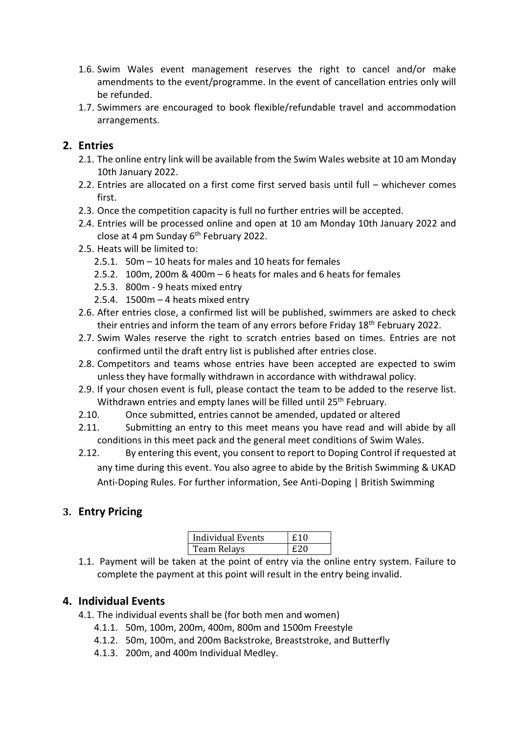- 1.6. Swim Wales event management reserves the right to cancel and/or make amendments to the event/programme. In the event of cancellation entries only will be refunded.
- 1.7. Swimmers are encouraged to book flexible/refundable travel and accommodation arrangements.

#### **2. Entries**

- 2.1. The online entry link will be available from the Swim Wales website at 10 am Monday 10th January 2022.
- 2.2. Entries are allocated on a first come first served basis until full whichever comes first.
- 2.3. Once the competition capacity is full no further entries will be accepted.
- 2.4. Entries will be processed online and open at 10 am Monday 10th January 2022 and close at 4 pm Sunday  $6<sup>th</sup>$  February 2022.
- 2.5. Heats will be limited to:
	- 2.5.1. 50m 10 heats for males and 10 heats for females
	- 2.5.2. 100m, 200m & 400m 6 heats for males and 6 heats for females
	- 2.5.3. 800m 9 heats mixed entry
	- 2.5.4.  $1500m 4$  heats mixed entry
- 2.6. After entries close, a confirmed list will be published, swimmers are asked to check their entries and inform the team of any errors before Friday 18<sup>th</sup> February 2022.
- 2.7. Swim Wales reserve the right to scratch entries based on times. Entries are not confirmed until the draft entry list is published after entries close.
- 2.8. Competitors and teams whose entries have been accepted are expected to swim unless they have formally withdrawn in accordance with withdrawal policy.
- 2.9. If your chosen event is full, please contact the team to be added to the reserve list. Withdrawn entries and empty lanes will be filled until 25<sup>th</sup> February.
- 2.10. Once submitted, entries cannot be amended, updated or altered
- 2.11. Submitting an entry to this meet means you have read and will abide by all conditions in this meet pack and the general meet conditions of Swim Wales.
- 2.12. By entering this event, you consent to report to Doping Control if requested at any time during this event. You also agree to abide by the British Swimming & UKAD Anti-Doping Rules. For further information, See Anti-Doping | British Swimming

#### **3. Entry Pricing**

| Individual Events | £10 |
|-------------------|-----|
| Team Relays       | f20 |

1.1. Payment will be taken at the point of entry via the online entry system. Failure to complete the payment at this point will result in the entry being invalid.

#### **4. Individual Events**

- 4.1. The individual events shall be (for both men and women)
	- 4.1.1. 50m, 100m, 200m, 400m, 800m and 1500m Freestyle
	- 4.1.2. 50m, 100m, and 200m Backstroke, Breaststroke, and Butterfly
	- 4.1.3. 200m, and 400m Individual Medley.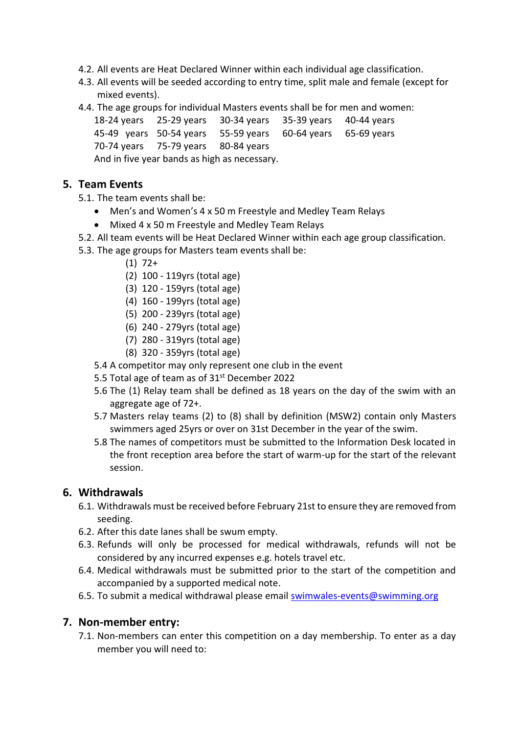- 4.2. All events are Heat Declared Winner within each individual age classification.
- 4.3. All events will be seeded according to entry time, split male and female (except for mixed events).
- 4.4. The age groups for individual Masters events shall be for men and women:

18-24 years 25-29 years 30-34 years 35-39 years 40-44 years 45-49 years 50-54 years 55-59 years 60-64 years 65-69 years 70-74 years 75-79 years 80-84 years

And in five year bands as high as necessary.

#### **5. Team Events**

5.1. The team events shall be:

- Men's and Women's 4 x 50 m Freestyle and Medley Team Relays
- Mixed 4 x 50 m Freestyle and Medley Team Relays
- 5.2. All team events will be Heat Declared Winner within each age group classification.
- 5.3. The age groups for Masters team events shall be:
	- $(1)$  72+
	- (2) 100 119yrs (total age)
	- (3) 120 159yrs (total age)
	- (4) 160 199yrs (total age)
	- (5) 200 239yrs (total age)
	- (6) 240 279yrs (total age)
	- (7) 280 319yrs (total age)
	- (8) 320 359yrs (total age)
	- 5.4 A competitor may only represent one club in the event
	- 5.5 Total age of team as of 31<sup>st</sup> December 2022
	- 5.6 The (1) Relay team shall be defined as 18 years on the day of the swim with an aggregate age of 72+.
	- 5.7 Masters relay teams (2) to (8) shall by definition (MSW2) contain only Masters swimmers aged 25yrs or over on 31st December in the year of the swim.
	- 5.8 The names of competitors must be submitted to the Information Desk located in the front reception area before the start of warm-up for the start of the relevant session.

#### **6. Withdrawals**

- 6.1. Withdrawals must be received before February 21st to ensure they are removed from seeding.
- 6.2. After this date lanes shall be swum empty.
- 6.3. Refunds will only be processed for medical withdrawals, refunds will not be considered by any incurred expenses e.g. hotels travel etc.
- 6.4. Medical withdrawals must be submitted prior to the start of the competition and accompanied by a supported medical note.
- 6.5. To submit a medical withdrawal please email **swimwales-events@swimming.org**

#### **7. Non-member entry:**

7.1. Non-members can enter this competition on a day membership. To enter as a day member you will need to: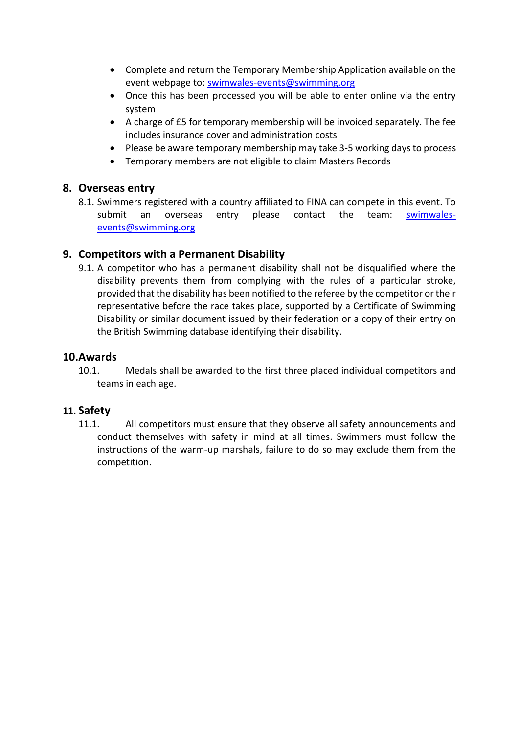- Complete and return the Temporary Membership Application available on the event webpage to: [swimwales-events@swimming.org](mailto:swimwales-events@swimming.org)
- Once this has been processed you will be able to enter online via the entry system
- A charge of £5 for temporary membership will be invoiced separately. The fee includes insurance cover and administration costs
- Please be aware temporary membership may take 3-5 working days to process
- Temporary members are not eligible to claim Masters Records

#### **8. Overseas entry**

8.1. Swimmers registered with a country affiliated to FINA can compete in this event. To submit an overseas entry please contact the team: swimwalesevents@swimming.org

#### **9. Competitors with a Permanent Disability**

9.1. A competitor who has a permanent disability shall not be disqualified where the disability prevents them from complying with the rules of a particular stroke, provided that the disability has been notified to the referee by the competitor or their representative before the race takes place, supported by a Certificate of Swimming Disability or similar document issued by their federation or a copy of their entry on the British Swimming database identifying their disability.

#### **10.Awards**

10.1. Medals shall be awarded to the first three placed individual competitors and teams in each age.

#### **11. Safety**

11.1. All competitors must ensure that they observe all safety announcements and conduct themselves with safety in mind at all times. Swimmers must follow the instructions of the warm-up marshals, failure to do so may exclude them from the competition.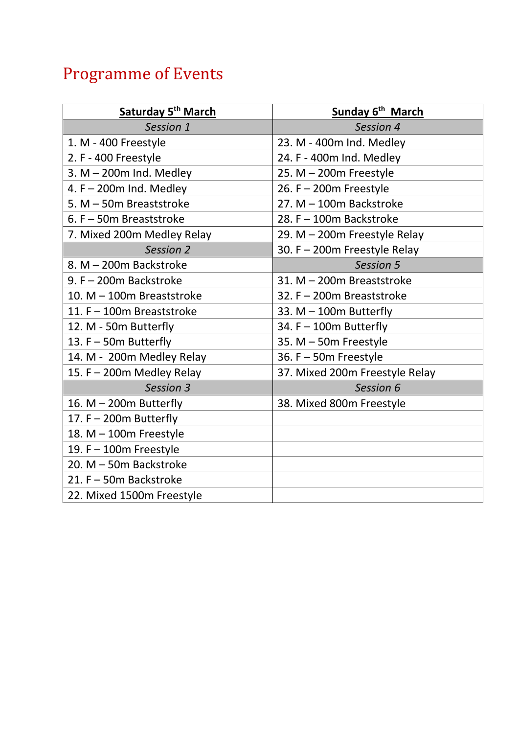# Programme of Events

| Saturday 5 <sup>th</sup> March | Sunday 6 <sup>th</sup> March   |
|--------------------------------|--------------------------------|
| Session 1                      | Session 4                      |
| 1. M - 400 Freestyle           | 23. M - 400m Ind. Medley       |
| 2. F - 400 Freestyle           | 24. F - 400m Ind. Medley       |
| 3. $M - 200m$ Ind. Medley      | 25. $M - 200m$ Freestyle       |
| 4. $F - 200m$ Ind. Medley      | 26. $F - 200m$ Freestyle       |
| 5. M - 50m Breaststroke        | 27. M - 100m Backstroke        |
| 6. F - 50m Breaststroke        | 28. F - 100m Backstroke        |
| 7. Mixed 200m Medley Relay     | 29. M - 200m Freestyle Relay   |
| Session 2                      | 30. F - 200m Freestyle Relay   |
| 8. M - 200m Backstroke         | Session 5                      |
| 9. F - 200m Backstroke         | 31. M - 200m Breaststroke      |
| 10. M - 100m Breaststroke      | 32. F - 200m Breaststroke      |
| 11. F - 100m Breaststroke      | 33. $M - 100m$ Butterfly       |
| 12. M - 50m Butterfly          | 34. $F - 100m$ Butterfly       |
| 13. F - 50m Butterfly          | 35. M - 50m Freestyle          |
| 14. M - 200m Medley Relay      | 36. $F - 50m$ Freestyle        |
| 15. F - 200m Medley Relay      | 37. Mixed 200m Freestyle Relay |
| Session 3                      | Session 6                      |
| 16. $M - 200m$ Butterfly       | 38. Mixed 800m Freestyle       |
| 17. $F - 200m$ Butterfly       |                                |
| 18. M - 100m Freestyle         |                                |
| 19. $F - 100m$ Freestyle       |                                |
| 20. M - 50m Backstroke         |                                |
| 21. F - 50m Backstroke         |                                |
| 22. Mixed 1500m Freestyle      |                                |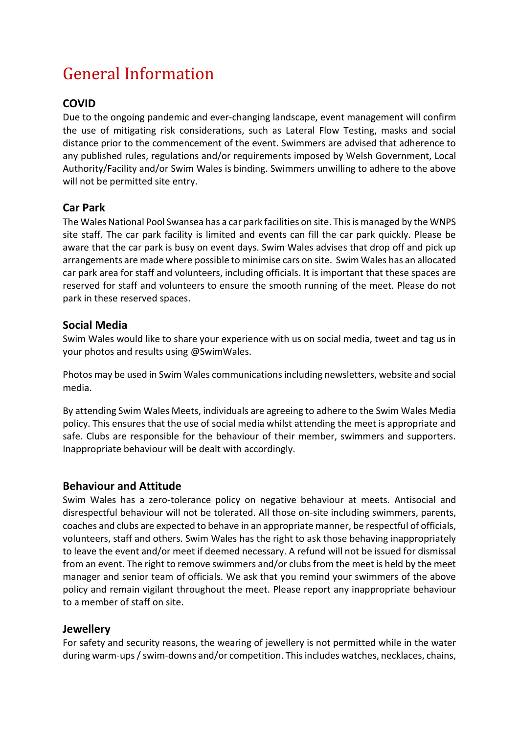# General Information

#### **COVID**

Due to the ongoing pandemic and ever-changing landscape, event management will confirm the use of mitigating risk considerations, such as Lateral Flow Testing, masks and social distance prior to the commencement of the event. Swimmers are advised that adherence to any published rules, regulations and/or requirements imposed by Welsh Government, Local Authority/Facility and/or Swim Wales is binding. Swimmers unwilling to adhere to the above will not be permitted site entry.

#### **Car Park**

The Wales National Pool Swansea has a car park facilities on site. This is managed by the WNPS site staff. The car park facility is limited and events can fill the car park quickly. Please be aware that the car park is busy on event days. Swim Wales advises that drop off and pick up arrangements are made where possible to minimise cars on site. Swim Wales has an allocated car park area for staff and volunteers, including officials. It is important that these spaces are reserved for staff and volunteers to ensure the smooth running of the meet. Please do not park in these reserved spaces.

#### **Social Media**

Swim Wales would like to share your experience with us on social media, tweet and tag us in your photos and results using @SwimWales.

Photos may be used in Swim Wales communications including newsletters, website and social media.

By attending Swim Wales Meets, individuals are agreeing to adhere to the Swim Wales Media policy. This ensures that the use of social media whilst attending the meet is appropriate and safe. Clubs are responsible for the behaviour of their member, swimmers and supporters. Inappropriate behaviour will be dealt with accordingly.

#### **Behaviour and Attitude**

Swim Wales has a zero-tolerance policy on negative behaviour at meets. Antisocial and disrespectful behaviour will not be tolerated. All those on-site including swimmers, parents, coaches and clubs are expected to behave in an appropriate manner, be respectful of officials, volunteers, staff and others. Swim Wales has the right to ask those behaving inappropriately to leave the event and/or meet if deemed necessary. A refund will not be issued for dismissal from an event. The right to remove swimmers and/or clubs from the meet is held by the meet manager and senior team of officials. We ask that you remind your swimmers of the above policy and remain vigilant throughout the meet. Please report any inappropriate behaviour to a member of staff on site.

#### **Jewellery**

For safety and security reasons, the wearing of jewellery is not permitted while in the water during warm-ups / swim-downs and/or competition. This includes watches, necklaces, chains,